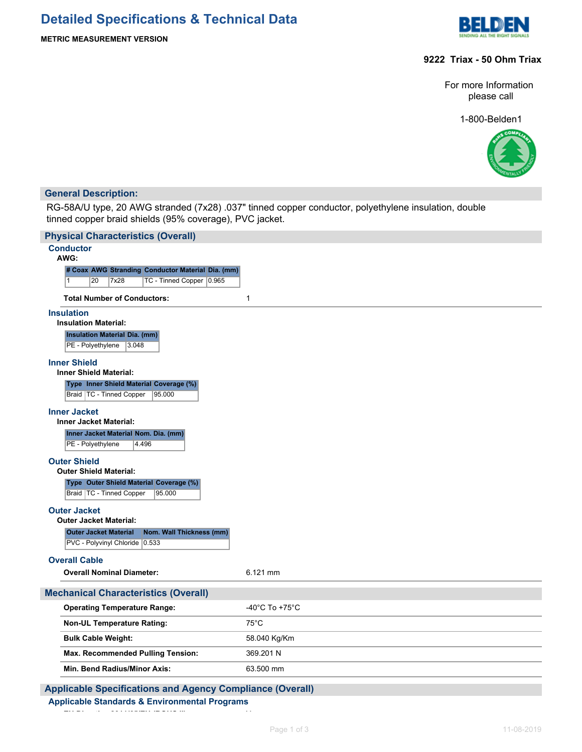

# **METRIC MEASUREMENT VERSION**

# **9222 Triax - 50 Ohm Triax**

For more Information please call

1-800-Belden1



# **General Description:**

I

RG-58A/U type, 20 AWG stranded (7x28) .037" tinned copper conductor, polyethylene insulation, double tinned copper braid shields (95% coverage), PVC jacket.

| <b>Physical Characteristics (Overall)</b>                                                                   |                                      |
|-------------------------------------------------------------------------------------------------------------|--------------------------------------|
| <b>Conductor</b><br>AWG:                                                                                    |                                      |
| # Coax AWG Stranding Conductor Material Dia. (mm)<br>$\mathbf{1}$<br>TC - Tinned Copper 0.965<br>20<br>7x28 |                                      |
| <b>Total Number of Conductors:</b>                                                                          | $\mathbf{1}$                         |
| <b>Insulation</b><br><b>Insulation Material:</b>                                                            |                                      |
| <b>Insulation Material Dia. (mm)</b><br>PE - Polyethylene<br> 3.048                                         |                                      |
| <b>Inner Shield</b><br><b>Inner Shield Material:</b>                                                        |                                      |
| Type Inner Shield Material Coverage (%)<br>Braid   TC - Tinned Copper<br>95.000                             |                                      |
| <b>Inner Jacket</b><br><b>Inner Jacket Material:</b>                                                        |                                      |
| Inner Jacket Material Nom. Dia. (mm)<br>PE - Polyethylene<br>4.496                                          |                                      |
| <b>Outer Shield</b><br><b>Outer Shield Material:</b>                                                        |                                      |
| Type Outer Shield Material Coverage (%)<br>Braid   TC - Tinned Copper<br>95.000                             |                                      |
| <b>Outer Jacket</b><br><b>Outer Jacket Material:</b>                                                        |                                      |
| Nom. Wall Thickness (mm)<br><b>Outer Jacket Material</b><br>PVC - Polyvinyl Chloride 0.533                  |                                      |
| <b>Overall Cable</b>                                                                                        |                                      |
| <b>Overall Nominal Diameter:</b>                                                                            | 6.121 mm                             |
| <b>Mechanical Characteristics (Overall)</b>                                                                 |                                      |
| <b>Operating Temperature Range:</b>                                                                         | -40 $^{\circ}$ C To +75 $^{\circ}$ C |
| <b>Non-UL Temperature Rating:</b>                                                                           | $75^{\circ}$ C                       |
| <b>Bulk Cable Weight:</b>                                                                                   | 58.040 Kg/Km                         |
| Max. Recommended Pulling Tension:                                                                           | 369.201 N                            |
| Min. Bend Radius/Minor Axis:                                                                                | 63.500 mm                            |
|                                                                                                             |                                      |

**Applicable Specifications and Agency Compliance (Overall) Applicable Standards & Environmental Programs**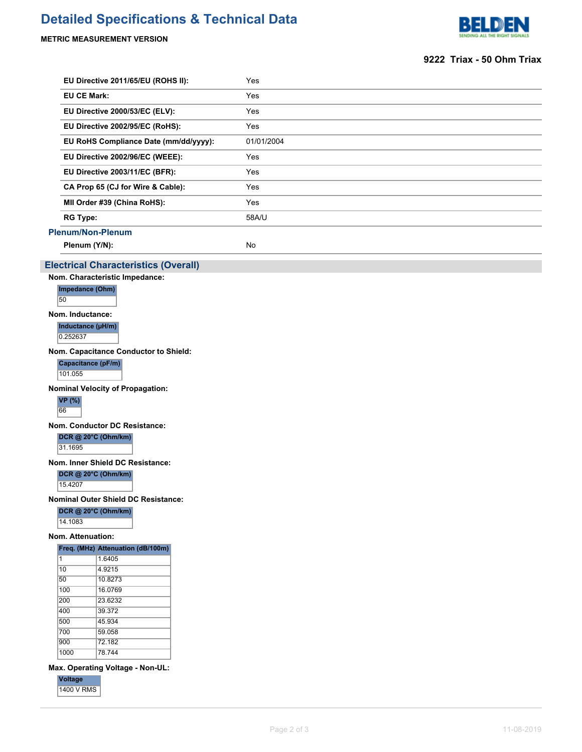# **Detailed Specifications & Technical Data**

## **METRIC MEASUREMENT VERSION**



## **9222 Triax - 50 Ohm Triax**

| EU Directive 2011/65/EU (ROHS II):    | Yes        |
|---------------------------------------|------------|
| <b>EU CE Mark:</b>                    | Yes        |
| EU Directive 2000/53/EC (ELV):        | Yes        |
| EU Directive 2002/95/EC (RoHS):       | Yes        |
| EU RoHS Compliance Date (mm/dd/yyyy): | 01/01/2004 |
| EU Directive 2002/96/EC (WEEE):       | Yes        |
| EU Directive 2003/11/EC (BFR):        | Yes        |
| CA Prop 65 (CJ for Wire & Cable):     | Yes        |
| MII Order #39 (China RoHS):           | Yes        |
| <b>RG Type:</b>                       | 58A/U      |
| <b>Plenum/Non-Plenum</b>              |            |
| Plenum (Y/N):                         | <b>No</b>  |

### **Electrical Characteristics (Overall)**

**Nom. Characteristic Impedance:**

**Impedance (Ohm)** 50

**Nom. Inductance:**

**Inductance (µH/m)**

0.252637

**Nom. Capacitance Conductor to Shield:**

**Capacitance (pF/m)**

101.055

**Nominal Velocity of Propagation:**

**VP (%)** 66

**Nom. Conductor DC Resistance:**

**DCR @ 20°C (Ohm/km)**

31.1695

**Nom. Inner Shield DC Resistance:**

**DCR @ 20°C (Ohm/km)**

15.4207

**Nominal Outer Shield DC Resistance:**

**DCR @ 20°C (Ohm/km)**

14.1083

#### **Nom. Attenuation:**

|      | Freq. (MHz) Attenuation (dB/100m) |
|------|-----------------------------------|
| 1    | 1.6405                            |
| 10   | 4.9215                            |
| 50   | 10.8273                           |
| 100  | 16.0769                           |
| 200  | 23.6232                           |
| 400  | 39.372                            |
| 500  | 45 934                            |
| 700  | 59.058                            |
| 900  | 72.182                            |
| 1000 | 78.744                            |

**Max. Operating Voltage - Non-UL:**

**Voltage** 1400 V RMS